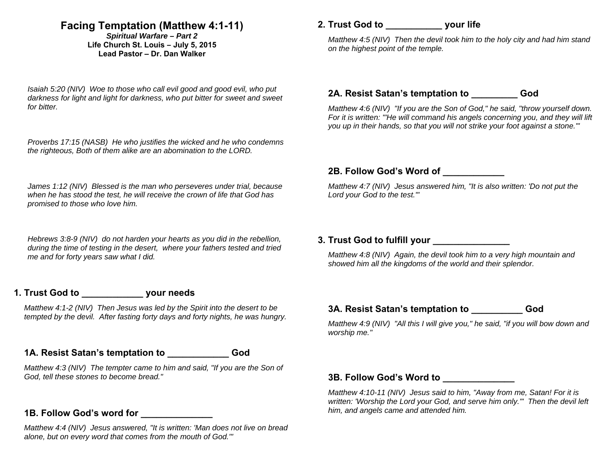# **Facing Temptation (Matthew 4:1-11)**

*Spiritual Warfare – Part 2*  **Life Church St. Louis** *–* **July 5, 2015 Lead Pastor – Dr. Dan Walker** 

*Isaiah 5:20 (NIV) Woe to those who call evil good and good evil, who put darkness for light and light for darkness, who put bitter for sweet and sweet for bitter.* 

*Proverbs 17:15 (NASB) He who justifies the wicked and he who condemns the righteous, Both of them alike are an abomination to the LORD.* 

*James 1:12 (NIV) Blessed is the man who perseveres under trial, because when he has stood the test, he will receive the crown of life that God has promised to those who love him.* 

*Hebrews 3:8-9 (NIV) do not harden your hearts as you did in the rebellion, during the time of testing in the desert, where your fathers tested and tried me and for forty years saw what I did.* 

## **1. Trust God to \_\_\_\_\_\_\_\_\_\_\_\_ your needs**

*Matthew 4:1-2 (NIV) Then Jesus was led by the Spirit into the desert to be tempted by the devil. After fasting forty days and forty nights, he was hungry.* 

#### **1A. Resist Satan's temptation to \_\_\_\_\_\_\_\_\_\_\_\_ God**

*Matthew 4:3 (NIV) The tempter came to him and said, "If you are the Son of God, tell these stones to become bread."* 

## **1B. Follow God's word for \_\_\_\_\_\_\_\_\_\_\_\_\_\_**

*Matthew 4:4 (NIV) Jesus answered, "It is written: 'Man does not live on bread alone, but on every word that comes from the mouth of God.'"* 

## **2. Trust God to \_\_\_\_\_\_\_\_\_\_\_ your life**

*Matthew 4:5 (NIV) Then the devil took him to the holy city and had him stand on the highest point of the temple.* 

#### **2A. Resist Satan's temptation to \_\_\_\_\_\_\_\_\_ God**

*Matthew 4:6 (NIV) "If you are the Son of God," he said, "throw yourself down. For it is written: "'He will command his angels concerning you, and they will lift you up in their hands, so that you will not strike your foot against a stone.'"* 

### **2B. Follow God's Word of \_\_\_\_\_\_\_\_\_\_\_\_**

*Matthew 4:7 (NIV) Jesus answered him, "It is also written: 'Do not put the Lord your God to the test.'"* 

## **3. Trust God to fulfill your \_\_\_\_\_\_\_\_\_\_\_\_\_\_\_**

*Matthew 4:8 (NIV) Again, the devil took him to a very high mountain and showed him all the kingdoms of the world and their splendor.* 

### **3A. Resist Satan's temptation to \_\_\_\_\_\_\_\_\_\_ God**

*Matthew 4:9 (NIV) "All this I will give you," he said, "if you will bow down and worship me."* 

### **3B. Follow God's Word to \_\_\_\_\_\_\_\_\_\_\_\_\_\_**

*Matthew 4:10-11 (NIV) Jesus said to him, "Away from me, Satan! For it is written: 'Worship the Lord your God, and serve him only.'" Then the devil left him, and angels came and attended him.*